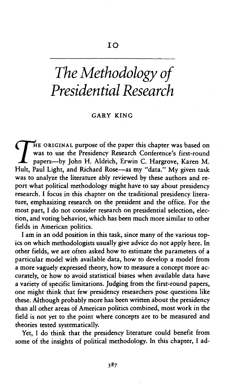# The Methodology of Presidential Research

## **GARY KING**

HE ORIGINAL purpose of the paper this chapter was based on was to use the Presidency Research Conference's first-round papers—by John H. Aldrich, Erwin C. Hargrove, Karen M. Hult, Paul Light, and Richard Rose—as my "data." papers-by John H. Aldrich, Erwin C. Hargrove, Karen M. was to analyze the literature ably reviewed by these authors and report what political methodology might have to say about presidency research. I focus in this chapter on the traditional presidency literature, emphasizing research on the president and the office. For the most part, I do not consider research on presidential selection, election, and voting behavior, which has been much more similar to other fields in American politics.

I am in an odd position in this task, since many of the various topics on which methodologists usually give advice do not apply here. In other fields, we are often asked how to estimate the parameters of a particular model with available data, how to develop a model from a more vaguely expressed theory, how to measure a concept more accurately, or how to avoid statistical biases when available data have a variety of specific limitations. Judging from the first-round papers, one might think that few presidency researchers pose questions like these. Although probably more has been written about the presidency than all other areas of American politics combined, most work in the field is not yet to the point where concepts are to be measured and theories tested systematically.

Yet, I do think that the presidency literature could benefit from some of the insights of political methodology. In this chapter, I ad-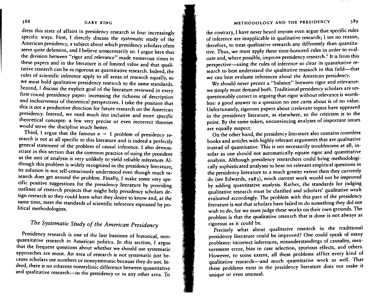# **METHODOLOGY AND THE PRESIDENCY** *389*

# *388* **GARY KING**

dress this state of affairs in presidency research in four increasingly specific ways. First, I directly discuss the *systematic* study of the American presidency, a subject about which presidency scholars often seem quite defensive, and **1** believe unnecessarily so. I argue here that the division between "rigor and relevance" made numerous times in these papers and in the literature is of limited value and that qualitative research can be as rigorous as quantitative research. Indeed, the rules of scientific inference apply to all areas of research equally, so we must hold qualitative presidency research to the same standards. Second, I discuss the explicit goal of the literature reviewed in every first-round presidency paper: increasing the richness of description and inclusiveness of theoretical perspectives. I take the position that this is not a productive direction for future research on the American presidency. Instead, we need much *less* inclusive and more *specific*  theoretical concepts: a few very precise or even incorrect theories would serve the discipline much better.

Third, I argue that the famous  $n = 1$  problem of presidency research is not at all specific to this literature and is indeed a perfectly general statement of the problem of causal inference. I also demonstrate in this section that the common practice of using the president as the unit of analysis is very unlikely to yield reliable inferences Although this problem is widely recognized in the presidency literature, its solution is not self-consciously understood even though much research does get around the problem. Finally, I make some very specific positive suggestions for the presidency literature by providing outlines of research projects that might help presidency scholars design research so they could learn what they desire to know and, at the same time, meet the standards of scientific inference espoused by political methodologists.

# *The Systematic Study of the American Presidency*

Presidency research is one of the last bastions of historical, nonquantitative research in American politics. In this section, I argue that the frequent questions about whether we should use systematic approaches are moot. An area of research is not systematic just because scholars use numbers or nonsystematic because they do not. Indeed, there is no inherent nonstylistic difference between quantitative and qualitative research-in the presidency or in any other area. To

the contrary, I have never heard anyone even argue that specific rules of inference are inapplicable in qualitative research; I see no reason, therefore, to treat qualitative research any differently than quantitative. Thus, we must apply these time-honored rules in order to evaluate and, where possible, improve presidency research.' It is from this perspective-using the rules of inference so clear in quantitative research to best understand the qualitative research in this field-that we can best evaluate inferences about the American presidency.

We should never permit a "balance" between rigor and relevance: we simply must demand both. Traditional presidency scholars are unquestionably correct in arguing that rigor without relevance is worthless: a good answer to a question no one cares about is of no value. Unfortunately, rigorous papers about irrelevant topics have appeared in the presidency literature, as elsewhere, so the criticism is to the point. By the same token, unconvincing analyses of important issues are equally suspect.

On the other hand, the presidency literature also contains countless books and articles with highly relevant arguments that are qualitative instead of quantitative. This is not necessarily troublesome at all, insofar as one should not automatically equate rigor and quantitative analysis. Although presidency researchers could bring methodologically sophisticated analyses to bear on relevant empirical questions in the presidency literature to a much greater extent then they currently do (see Edwards, 1983), much current work would not be improved by adding quantitative analysis. Rather, the standards for judging qualitative research must be clarified and scholars' qualitative work evaluated accordingly. The problem with this part of the presidency literature is not that scholars have failed to do something they did not wish to do, for we must judge these works on their own grounds. The problem is that the qualitative research that is done is not always as rigorous as it could be.

Precisely what about qualitative research in the traditional presidency literature could be improved? One could speak of many problems: incorrect inferences, misunderstandings of causality, measurement error, bias in case selection, spurious effects, and others. However, to some extent, all these problems afflict every kind of qualitative research-and much quantitative work as well. That these problems exist in the presidency literature does not make it unique or even unusual.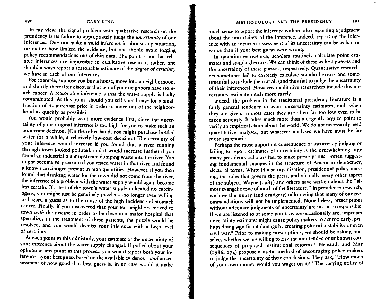In my view, the signal problem with qualitative research on the presidency is its failure to appropriately judge the uncertainty of our inferences. One can make a valid inference in almost any situation, no matter how limited the evidence, but one should avoid forging policy recommendations out of thin data. The point is not that reliable inferences are impossible in qualitative research; rather, one should always report a reasonable estimate of the *degree of certainty* we have in each of our inferences.

For example, suppose you buy a house, move into a neighborhood, and shortly thereafter discover that ten of your neighbors have stomach cancer. A reasonable inference is that the water supply is badly contaminated. At this point, should you sell your house for a small fraction of its purchase price in order to move out of the neighborhood as quickly as possible?

You would probably want more evidence first, since the uncertainty of your original inference is too high for you to make such an important decision. (On the other hand, you might purchase bottled water for a while, a relatively low-cost decision.) The certainty of your inference would increase if you found that a river running through town looked polluted, and it would increase further if you found an industrial plant upstream dumping waste into the river. You might become very certain if you tested water in that river and found a known carcinogen present in high quantities. However, if you then found that drinking water for the town did not come from the river, the inference of a problem with the water supply would again become less certain. If a test of the town's water supply indicated no carcinogens, you might just be genuinely puzzled-no longer even willing to hazard a guess as to the cause of the high incidence of stomach cancer. Finally, if you discovered that your ten neighbors moved to town with the disease in order to be close to a major hospital that specializes in the treatment of these patients, the puzzle would be resolved, and you would dismiss your inference with a high level of certainty.

At each point in this ministudy, your estimate of the uncertainty of your inference about the water supply changed. If polled about your opinion at any point in this process, you would report both your inference-your best guess based on the available evidence-and an assessment of how good that best guess is. In no case would it make

much sense to report the inference without also reporting a judgment about the uncertainty of the inference. Indeed, reporting the inference with an incorrect assessment of its uncertainty can be as bad or worse than if your best guess were wrong.

In quantitative research, scholars routinely calculate point estimates and standard errors. We can think of these as best guesses and the uncertainty of these guesses, respectively. Quantitative researchers sometimes fail to correctly calculate standard errors and sometimes fail to include them at all (and thus fail to judge the uncertainty of their inferences). However, qualitative researchers include this uncertainty estimate much more rarely.

Indeed, the problem in the traditional presidency literature is a fairly general tendency to avoid uncertainty estimates, and, when they are given, in most cases they are often far too low even to be taken seriously. it takes much more than a cogently argued point to verify an empirical claim about the world. We do not necessarily need quantitative analyses, but whatever analyses we have must be far more systematic.

Perhaps the most important consequence of incorrectly judging or failing to report estimates of uncertainty is the overwhelming urge many presidency scholars feel to make prescriptions-often suggesting fundamental changes in the structure of American democracy, electoral terms, White House organization, presidential policy making, the rules that govern the press, and virtually every other aspect of the subject. Wayne (1983) and others have written about the "almost evangelic tone of much of the literature." In presidency research, we have the luxury (and drudgery) of knowing that many of our recommendations will not be implemented. Nonetheless, prescriptions without adequate judgments of uncertainty are just as irresponsible. If we are listened to at some point, as we occasionally are, improper uncertainty estimates might cause policy makers to act too early, perhaps doing significant damage by creating political instability or even civil war.' Prior to making prescriptions, we should be asking ourselves whether we are willing to risk the unintended or unknown consequences of proposed institutional reforms.' Neustadt and May (1986, 274) propose a useful method of encouraging policy makers to judge the uncertainty of their conclusions. They ask, "How much of your own money would you wager on it?" The varying utility of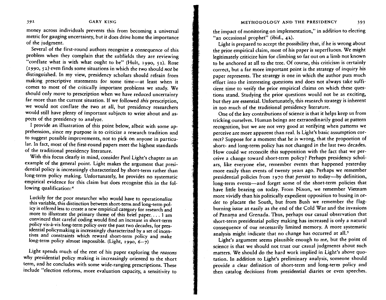money across individuals prevents this from becoming a universal metric for gauging uncertainty, but it does drive home the importance of the judgment.

Several of the first-round authors recognize a consequence of this problem when they complain that the subfields they are reviewing "conflate what is with what ought to be" (Hult, 1990, 52). Rose  $(1990, 52)$  even finds some situations in which the two should not be distinguished. In my view, presidency scholars should refrain from making prescriptive statements for some time-at least when it comes to most of the critically important problems we study. We should only move to prescription when we have reduced uncertainty far more than the current situation. If we followed *this* prescription, we would not conflate the two at all, but presidency researchers would still have plenty of important subjects to write about and aspects of the presidency to analyze.

I provide an illustration of this point below, albeit with some apprehension, since my purpose is to criticize a research tradition and to suggest possible improvements, not to pick on anyone in particular. In fact, most of the first-round papers meet the highest standards of the traditional presidency literature.

With this focus clearly in mind, consider Paul Light's chapter as an example of the general point. Light makes the argument that presidential policy is increasingly characterized by short-term rather than long-term policy making. Unfortunately, he provides no systematic empirical evidence for this claim but does recognize this in the following qualification:4

Luckily for the poor researcher who would have to operationalize this variable, this distinction between short-term and long-term policy is offered less to create a new empirical category for research and more to illustrate the primary theme of this brief paper.. . . I am convinced that careful coding would find an increase in short-term policy vis-a-vis long-term policy over the past two decades, for presidential policymaking is increasingly characterized by a set of incentives and constraints which reward short-term policy and make long-term policy almost impossible. (Light, 1990, 6-7)

Light spends much of the rest of his paper exploring the reasons why presidential policy making is increasingly oriented to the short term, and he concludes with some wide-ranging prescriptions. These include "election reforms, more evaluation capacity, a sensitivity to the impact of monitoring on implementation," in addition to electing "an occasional prophet" (ibid., 42).

Light is prepared to accept the possibility that, if he is wrong about the prior empirical claim, most of his paper is superfluous. We might legitimately criticize him for climbing so far out on a limb not known to be anchored at all to the tree. Of course, this criticism is certainly correct, but a far more important point is the strategy of inquiry his paper represents. The strategy is one in which the author puts much effort into the interesting questions and does not always take sufficient time to verify the prior empirical claims on which these questions stand. Studying the prior questions would not be as exciting, but they are essential. Unfortunately, this research strategy is inherent in too much of the traditional presidency literature.

One of the key contributions of science is that it helps keep us from tricking ourselves. Human beings are extraordinarily good at pattern recognition, but we are not very good at verifying when patterns we perceive are more apparent than real. Is Light's basic assumption correct? Suppose for a moment that he is wrong, that the proportion of short- and long-term policy has not changed in the last two decades. How could we reconcile this supposition with the fact that we perceive a change toward short-term policy? Perhaps presidency scholars, like everyone else, remember events that happened yesterday more easily than events of twenty years ago. Perhaps we remember presidential policies from 1970 that persist to today---by definition, long-term events-and forget some of the short-term policies that have little bearing on today. From Nixon, we remember Vietnam more vividly than his politically expedient opposition to busing in order to placate the South, but from Bush we remember the flagburning issue as easily as the end of the Cold War and the invasions of Panama and Grenada. Thus, perhaps our casual observation that short-term presidential policy making has increased is only a natural consequence of our necessarily limited memory. A more systematic analysis might indicate that no change has occurred at all.<sup>5</sup>

Light's argument seems plausible enough to me, but the point of science is that we should not trust our casual judgments about such matters. We should do the hard work implied in Light's above quotation. In addition to Light's preliminary analysis, someone should provide a clear definition of short-term and long-term policy and then catalog decisions from presidential diaries or even speeches.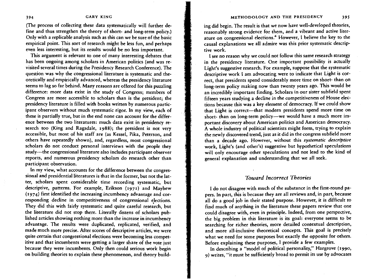(The process of collecting these data systematically will further define and thus strengthen the theory of short- and long-term policy.) Only with a replicable analysis such as this can we be sure of the basic empirical point. This sort of research might be less fun, and perhaps even less interesting, but its results would be no less important.

This argument is relevant to one of many interesting debates that has been ongoing among scholars in American politics (and was revisited several times during the Presidency Research Conference). The question was why the congressional literature is systematic and theoretically and empirically advanced, whereas the presidency literature seems to lag so far behind. Many reasons are offered for this puzzling difference: more data exist in the study of Congress; members of Congress are more accessible to scholars than is the president; the presidency literature is filled with books written by numerous participant observers without much systematic rigor. In my view, each of these is partially true, but in the end none can account for the difference between the two literatures: much data exist in presidency research too (King and Ragsdale, 1988); the president is not very accessible, but most of his staff are (as Kessel, Pika, Peterson, and others have repeatedly shown), and, regardless, most congressional scholars do not conduct personal interviews with the people they study-the congressional literature also includes participant observer reports, and numerous presidency scholars do research other than participant observation.

In my view, what accounts for the difference between the congressional and presidential literatures is that in the former, but not the latter, scholars spent considerable time recording systematic, but descriptive, patterns. For example, Erikson (1971) and Mayhew (1974) first identified the increasing incumbency advantage and corresponding decline in competitiveness of congressional elections. They did this with fairly systematic and quite careful research, but the literature did not stop there. Literally dozens of scholars published articles showing nothing more than the increase in incumbency advantage. The results were duplicated, replicated, verified, and made much more precise. After scores of descriptive articles, we were quite certain that congressional elections were becoming less competitive and that incumbents were getting a larger share of the vote just because they were incumbents. Only then could serious work begin on building theories to explain these phenomenon, and theory building did begin. The result is that we now have well-developed theories, reasonably strong evidence for them, and a vibrant and active literature on congressional elections.<sup>6</sup> However, I believe the key to the causal explanations we all admire was this prior systematic descriptive work.

I see no reason why we could not follow this same research strategy in the presidency literature. One important possibility is actually Light's suggestive research. For example, suppose that the systematic descriptive work I am advocating were to indicate that Light is correct, that presidents spend considerably more time on short- than on long-term policy making now than twenty years ago. This would be an incredibly important finding. Scholars in our sister subfield spent fifteen years studying a decline in the competitiveness of House elections because this was a key element of democracy. If we could show that Light is correct-that modern presidents spend more time on short- than on long-term policy-we would have a much more important discovery about American politics and American democracy. **A** whole industry of political scientists might form, trying to explain the newly discovered trend, just as it did in the congress subfield more than a decade ago. However, without this *systematic descriptive*  work, Light's (and other's) suggestive but hypothetical speculations will only encourage other speculations and not lead to the kind of general explanation and understanding that we all seek.

*Toward Incorrect Theories* 

I do not disagree with much of the substance in the first-round papers. In part, this is because they are all reviews and, in part, because all do a good job in their stated purpose. However, it is difficult to find much of anything in the literature these papers review that one could disagree with, even in principle. Indeed, from one perspective, the big problem in this literature is its goal: everyone seems to be searching for richer theories, more detailed contextual description, and more all-inclusive theoretical concepts. This goal is precisely what we need for some purposes but exactly the opposite for others. Before explaining these purposes, **1** provide a few examples.

In describing a "model of political personality," Hargrove (1990, 9) writes, "it must be sufficiently broad to permit its use by advocates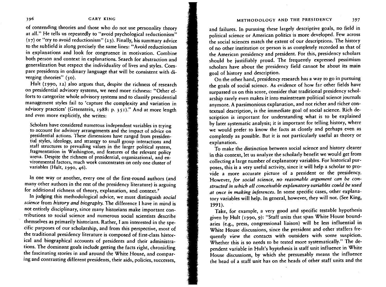#### **METHODOLOGY AND THE PRESIDENCY** *397*

#### *396* **GARY KING**

of contending theories and those who do not use personality theory at all." He tells us repeatedly to "avoid psychological reductionism" **(17)** or "try to avoid reductionism" (23). Finally, his summary advice to the subfield is along precisely the same lines: "Avoid reductionism in explanations and look for congruence in motivation. Combine both person and context in explanations. Search for abstraction and generalization but respect the individuality of lives and styles. Compare presidents in ordinary language that will be consistent with diverging theories" (50).

Hult (1990, **12)** also argues that, despite the richness of research on presidential advisory systems, we need more richness: "Other efforts to categorize whole advisory systems and to classify presidential management styles fail to 'capture the complexity and variation in advisory practices' (Greenstein, 1988: p. 351)." And at more length and even more explicitly, she writes:

Scholars have considered numerous independent variables in trying<br>to account for advisory arrangements and the impact of advice on presidential actions. These dimensions have ranged from presidential styles, ideology, and strategy to small group interactions and staff structures to prevailing values in the larger political system, fragmentation in Washington, and features of the relevant policy vironmental factors, much work concentrates on only one cluster of variables (Hult, 1990, **46).** 

In one way or another, every one of the first-round authors (and many other authors in the rest of the presidency literature) is arguing for additional richness of theory, explanation, and context.'

In judging this methodological advice, we must distinguish social science from history and biography. The difference I have in mind is not entirely disciplinary, since many historians make important contributions to social science and numerous social scientists describe themselves as primarily historians. Rather, I am interested in the specific purposes of our scholarship, and from this perspective, most of the traditional presidency literature is composed of first-class historical and biographical accounts of presidents and their administrations. The dominant goals include getting the facts right, chronicling the fascinating stories in and around the White House, and comparing and contrasting different presidents, their aids, policies, successes,

and failures. In pursuing these largely descriptive goals, no field in political science or American politics is more developed. Few across the social sciences match the extent of our descriptions. The history of no other institution or person is as completely recorded as that of the American presidency and president. For this, presidency scholars should be justifiably proud. The frequently expressed pessimism scholars have about the presidency field cannot be about its main goal of history and description.

On the other hand, presidency research has a way to go in pursuing the goals of social science. As evidence of how far other fields have surpassed us on this score, consider that traditional presidency scholarship rarely even makes it into mainstream political science journals anymore. **A** parsimonious explanation, and not richer and richer contextual description, is the immediate goal of social science. Rich description is important for understanding what is to be explained by later systematic analysis; it is important for telling history, where we would prefer to know the facts as closely and perhaps even as completely as possible. But it is not particularly useful as theory or explanation.

To make the distinction between social science and history clearer in this context, let us analyze the scholarly benefit we would get from collecting a large number of explanatory variables. For historical purposes, this is a very useful activity, since it will help a scholar to provide a more accurate picture of a president or the presidency. However, for social science, no reasonable argument can be constructed in which all conceivable explanatory variables could be used at once in making inferences. In some specific cases, other explanatory variables will help. In general, however, they will not. (See King, 1991).

Take, for example, a very good and specific testable hypothesis given by Hult (1990, 9): "Staff units that span White House boundaries (e.g., press, congressional liaison) will be less influential in White House discussions, since the president and other staffers frequently view the contacts with outsiders with some suspicion. Whether this is so needs to be tested more systematically." The dependent variable in Hult's hypothesis is staff unit influence in White House discussions, by which she presumably means the influence the head of a staff unit has on the heads of other staff units and the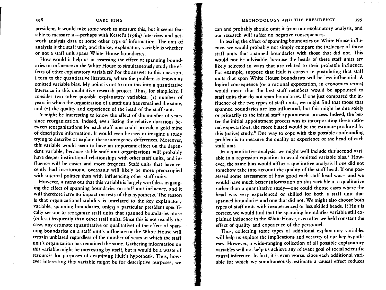#### **METHODOLOGY AND THE PRESIDENCY** *399*

#### **398 GARY KING**

president. It would take some work to measure this, but it seems feasible to measure it-perhaps with Kessel's **(1984)** interview and network analysis data or some other type of information. The unit of analysis is the staff unit, and the key explanatory variable is whether or not a staff unit spans White House boundaries.

How would it help us in assessing the effect of spanning boundaries on influence in the White House to simultaneously study the effects of other explanatory variables? For the answer to this question, I turn to the quantitative literature, where the problem is known as omitted variable bias. My point is not to turn this into a quantitative inference in this qualitative research project. Thus, for simplicity, I consider two other possible explanatory variables:  $\{r\}$  number of years in which the organization of a staff unit has remained the same, and **(2)** the quality and experience of the head of the staff unit.

It might be interesting to know the effect of the number of years since reorganization. Indeed, even listing the relative durations between reorganizations for each staff unit could provide a gold mine of descriptive information. It would even be easy to imagine a study trying to describe or explain these interagency differences. Moreover, this variable would seem to have an important effect on the dependent variable, because stable staff unit organizations will probably have deeper institutional relationships with other staff units, and influence will be easier and more frequent. Staff units that have recently had institutional overhauls will likely be more preoccupied with internal politics than with influencing other staff units.

However, it turns out that this variable is largely worthless in gauging the effect of spanning boundaries on staff unit influence, and it will therefore have no impact on tests of this hypothesis. The reason is that organizational stability is unrelated to the key explanatory variable, spanning boundaries, unless a particular president specifically set out to reorganize staff units that spanned boundaries more (or less) frequently than other staff units. Since this is not usually the case, any estimate (quantitative or qualitative) of the effect of spanning boundaries on a staff unit's influence in the White House will remain unbiased regardless of the number of years in which the staff unit's organization has remained the same. Gathering information on this variable might be interesting by itself, but it would be a waste of resources for purposes of examining Hult's hypothesis. Thus, however interesting this variable might be for descriptive purposes, we

can and probably should omit it from our explanatory analysis, and our research will suffer no negative consequences.<br>In testing the effect of spanning boundaries on White House influ-

can and probably should omit it from our explanatory analysis, and<br>our research will suffer no negative consequences.<br>In testing the effect of spanning boundaries on White House influ-<br>ence, we would probably not simply co staff units that spanned boundaries with those that did not. This would not be advisable, because the heads of these staff units are likely selected in ways that are related to their probable influence. For example, suppose that Hult is correct in postulating that staff units that span White House boundaries will be less influential. **A**  logical consequence (or a rational expectation, in economics terms) would mean that the best staff members would be appointed to staff units that do not span boundaries. If one just compared the influence of the two types of staff units, we might find that those that spanned boundaries are less influential, but this might be due solely or primarily to the initial staff appointment process. Indeed, the better the initial appointment process was in incorporating these rational expectations, the more biased would be the estimate produced by this (naive) study. $8$  One way to cope with this possible confounding problem is to measure the quality or experience of the head of each staff unit.

In a quantitative analysis, we might well include this second variable in a regression equation to avoid omitted variable bias.<sup>9</sup> However, the same bias would afflict a qualitative analysis if one did not somehow take into account the quality of the staff head. If one possessed some assessment of how good each staff head was-and we would have much better information on this variable in a qualitative rather than a quantitative study—one could choose cases where the head was very experienced or skilled for both a staff unit that spanned boundaries and one that did not. We might also choose both types of staff units with inexperienced or less skilled heads. If Hult is correct, we would find that the spanning boundaries variable still explained influence in the White House, even after we held constant the effect of quality and experience of the personnel.

Thus, collecting some types of additional explanatory variables will help us explore the implications and veracity of our key hypotheses. However, a wide-ranging collection of all possible explanatory variables will not help us achieve any relevant goal of social scientific causal inference. In fact, it is even worse, since each additional variable for which we simultaneously estimate a causal effect reduces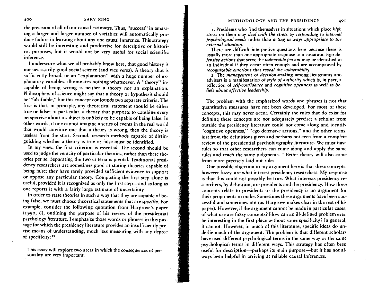the precision of all of our causal estimates. Thus, "success" in amassing a larger and larger number of variables will automatically produce failure in learning about any one causal inference. This strategy would still be interesting and productive for descriptive or historical purposes, but it would not be very useful for social scientific inference.

I underscore what we all probably know here, that good history is not necessarily good social science (and vice versa). A theory that is sufficiently broad, or an "explanation" with a huge number of explanatory variables, illuminates nothing whatsoever. A "theory" incapable of being wrong is neither a theory nor an explanation. Philosophers of science might say that a theory or hypothesis should be "falsifiable," but this concept confounds two separate criteria. The first is that, in principle, any theoretical statement should be either true or false; in particular, a theory that purports to combine every perspective about a subject is unlikely to be capable of being false. In other words, if one cannot imagine a series of events in the real world that would convince one that a theory is wrong, then the theory is useless from the start. Second, research methods capable of distinguishing whether a theory is true or false must be identified.

In my view, the first criterion is essential. The second should be used to judge the veracity of particular theories, rather than these theories per se. Separating the two criteria is pivotal. Traditional presidency researchers are sometimes good at stating theories capable of being false; they have rarely provided sufficient evidence to support or oppose any particular theory. Completing the first step alone is useful, provided it is recognized as only the first step-and as long as one reports it with a fairly large estimate of uncertainty.

In order to state theories in such a way that they are capable of being false, we must choose theoretical statements that are specific. For example, consider the following quotation from Hargrove's paper (1990, 6), outlining the purpose of his review of the presidential psychology literature. I emphasize those words or phrases in this passage for which the presidency literature provides an insufficiently precise means of understanding, much less measuring with any degree of specificity:<sup>10</sup>

This essay will explore two areas in which the consequences of personality are very important:

I. Presidents who find themselves in situations which place high stress on them may deal with the stress by responding to internal psychological needs rather than acting in ways appropriate to the external situation.

There are difficult interpretive questions here because there is usually more than one appropriate response to a situation. Ego de-<br>fensive actions that serve the vulnerable person may be identified in an individual if they occur often enough and are accompanied by recognizable emotions that reveal the vulnerability.

2. The management of decision-making among lieutenants and advisers is a manifestation of *style of authority* which is, in part, a reflection of self-confidence and cognitive openness as well as beliefs about effective leadership.

The problem with the emphasized words and phrases is not that quantitative measures have not been developed. For most of these concepts, this may never occur. Certainly the rules that do exist for defining these concepts are not adequately precise; a scholar from outside the presidency literature could not come along and identify "cognitive openness," "ego defensive actions," and the other terms, just from the definitions given and perhaps not even from a complete review of the presidential psychobiography literature. We must have rules so that other researchers can come along and apply the same rules and reach the same judgments." Better theory will also come from more precisely laid-out rules.

One possible objection to my argument here is that these concepts, however fuzzy, are what interest presidency researchers. My response is that this could not possibly be true. What interests presidency researchers, **by** definition, are presidents and the presidency. How these concepts relate to presidents or the presidency is an argument for their proponents to make. Sometimes these arguments have been successful and sometimes not (as Hargrove makes clear in the rest of his paper). However, if the argument cannot be made in particular cases, of what use are fuzzy concepts? How can an ill-defined problem even be interesting in the first place without some specificity? In general, it cannot. However, in much of this literature, specific ideas do underlie much of the argument. The problem is that different scholars have used different psychological terms in the same way or the same psychological terms in different ways. This strategy has often been useful for description-perhaps its main purpose-but it has not always been helpful in arriving at reliable causal inferences.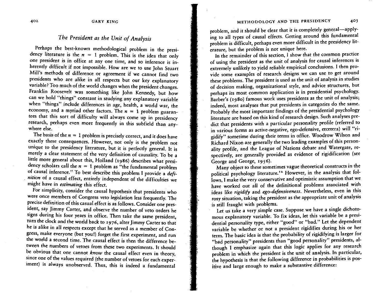# *The Presiderrt as the Unit of Analysis*

Perhaps the best-known methodological problem in the presidency literature is the  $n = 1$  problem. This is the idea that only one president is in office at any one time, and so inference is inherently difficult if not impossible. How are we to use John Stuart Mill's methods of difference or agreement if we cannot find two presidents who are alike in all respects but our key explanatory variable? Too much of the world changes when the president changes. Franklin Roosevelt was something like John Kennedy, but how can we hold "things" constant in studying any explanatory variable when "things" include differences in age, health, a world war, the economy, and a myriad other factors. The  $n = 1$  problem guarantees that this sort of difficulty will always come up in presidency research, perhaps even more frequently in this subfield than anywhere else.

The basis of the  $n = 1$  problem is precisely correct, and it does have exactly these consequences. However, not only is the problem not unique to the presidency literature, but it is perfectly general. It is merely a clear statement of the very definition of causality. To be a little more general about this, Holland (1986) describes what presidency scholars call the  $n = 1$  problem as "the fundamental problem of causal inference." To best describe this problem I provide a definition of a causal effect, entirely independent of the difficulties we might have in estimating this effect.

For simplicity, consider the causal hypothesis that presidents who were once members of Congress veto legislation less frequently. The precise definition of this casual effect is as follows. Consider one president, say Jimmy Carter, and observe the number of veto orders he signs during his four years in office. Then take the same president, turn the clock and the world back to I 976, alter Jimmy Carter so that he is alike in all respects except that he served as a member of Congress, make everyone (but you!) forget the first experiment, and run the world a second time. The causal effect is then the difference between the numbers of vetoes from these two experiments. It should be obvious that one cannot  $known$  the causal effect even in theory, since one of the values required (the number of vetoes for each experiment) is always unobserved. Thus, this is indeed a fundamental

problem, and it should be clear that it is completely general-applying to all types of causal effects. Getting around this fundamental problem is difficult, perhaps even more difficult in the presidency literature, but the problem is not unique here.

In the remainder of this section, I show that the common practice of using the president as the unit of analysis for causal inferences is extremely unlikely to yield reliable empirical conclusions. I then provide some examples of research designs we can use to get around these problems. The president is used as the unit of analysis in studies of decision making, organizational style, and advice structures, but perhaps its most common application is in presidential psychology. Barber's (1980) famous work uses presidents as the unit of analysis; indeed, most analyses that put presidents in categories do the same. Probably the most important findings of the presidential psychology literature are based on this kind of research design. Such analyses predict that presidents with a particular personality profile (referred to in various forms as active-negative, ego-defensive, etcetera) will "rigidify" sometime during their terms in office. Woodrow Wilson and Richard Nixon are generally the two leading examples of this personality profile, and the League of Nations debate and Watergate, respectively, are generally provided as evidence of rigidification (see George and George, 1956).

Many object to these sometimes vague theoretical constructs in the political psychology literature." However, in the analysis that follows, I make the very conservative and optimistic assumption that we have worked out all of the definitional problems associated with ideas like rigidify and ego-defensiveness. Nevertheless, even in this rosy situation, taking the president as the appropriate unit of analysis is still fraught with problems.

Let us take a very simple case. Suppose we have a single dichotomous explanatory variable. To fix ideas, let this variable be a presidential personality type, either "good" or "bad." Let the dependent variable be whether or not a president rigidifies during his or her term. The basic idea is that the probability of rigidifying is larger for "bad personality" presidents than "good personality" presidents, although 1 emphasize again that this logic applies for any research problem in which the president is the unit of analysis. In particular, the hypothesis is that the following difference in probabilities is positive and large enough to make a substantive difference: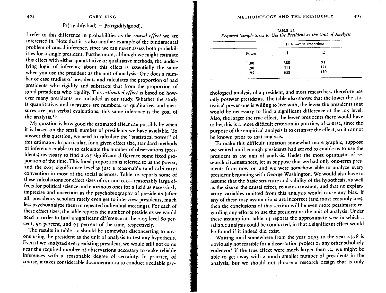### $Pr(rigidify|bad) - Pr(rigidify|good)$ ,

I refer to this difference in probabilities as the *causal effect* we are interested in. Note that it is also another example of the fundamental problem of causal inference, since we can never assess both probabilities for a single president. Furthermore, although we might estimate this effect with either quantitative or qualitative methods, the underlying logic of inference about this effect is essentially the same when you use the president as the unit of analysis: One does a number of case studies of presidents and calculates the proportion of bad presidents who rigidify and subtracts that from the proportion of good presidents who rigidify. This *estimated effect* is based on however many presidents are included in our study. Whether the study is quantitative, and measures are numbers, or qualitative, and measures are just verbal evaluations, this same inference is the goal of the analysis.<sup>13</sup>

My question is how good the estimated effect can possibly be when it is based on the small number of presidents we have available. To answer this question, we need to calculate the "statistical power" of this estimator. In particular, for a given effect size, standard methods of inference enable us to calculate the number of observations (presidents) necessary to find a .05 significant difference some fixed proportion of the time. This fixed proportion is referred to as the power, and the 0.05 significance level is just a reasonable (and arbitrary) convention in most of the social sciences. Table 12 reports some of these calculations for effect sizes of 0.1 and 0.2-reasonably large effects for political science and enormous ones for a field as necessarily imprecise and uncertain as the psychobiography of presidents (after all, presidency scholars rarely even get to interview presidents, much less psychoanalyze them in repeated individual meetings). For each of these effect sizes, the table reports the number of presidents we would need in order to find a significant difference at the 0.05 level 80 percent, 90 percent, and 95 percent of the time, respectively.

The results in table **12** should be somewhat disconcerting to anyone using the president as the unit of analysis to test any hypothesis. Even if we analyzed every existing president, we would still not come near the required number of observations necessary to make reliable inferences with a reasonable degree of certainty. In practice, of course, it takes considerable documentation to conduct a reliable psy-

**TABLE I2**  *Required Sample Sizes to Use the President as the Unit of Analysis* 

|       | Difference in Proportions |     |  |
|-------|---------------------------|-----|--|
| Power |                           | . 4 |  |
| .80   | 388                       | 91  |  |
| .90   | 515                       | 121 |  |
| .95   | 638                       | 150 |  |

chological analysis of a president, and most researchers therefore use only postwar presidents. The table also shows that the lower the statistical power one is willing to live with, the fewer the presidents that would be necessary to find a significant difference at the .o5 level. Also, the larger the true effect, the fewer presidents there would have to be; this is a more difficult criterion in practice, of course, since the purpose of the empirical analysis is to estimate the effect, so it cannot be known prior to that analysis.

To make this difficult situation somewhat more graphic, suppose we waited until enough presidents had served to enable us to use the president as the unit of analysis. Under the most optimistic of research circumstances, let us suppose that we had only one-term presidents from now on and we were somehow able to analyze every president beginning with George Washington. We would also have to assume that the basic structure and validity of the hypothesis, as well as the size of the causal effect, remains constant, and that no explan-<br>atory variables omitted from this analysis would cause any bias. If any of these rosy assumptions are incorrect (and most certainly are), then the conclusions of this section will be even more pessimistic re garding any efforts to use the president as the unit of analysis. Under ; these assumption, table 13 reports the approximate *year* in which a reliable analysis could be conducted, in that a significant effect would be found if it indeed did exist.

Waiting until somewhere from the year 2193 to the year 4378 is obviously not feasible for a dissertation project or any other scholarly endeavor! If the true effect were much larger than .2, we might be able to get away with a much smaller number of presidents in the analysis, but we should not choose a research design that is only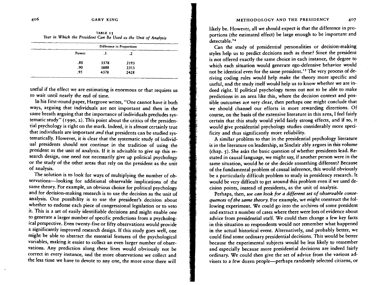|  | TABLE 13 |                                                                 |
|--|----------|-----------------------------------------------------------------|
|  |          | Year in Which the President Can Be Used as the Unit of Analysis |

| Difference in Proportions |      |      |
|---------------------------|------|------|
| Power                     | .1   | .2   |
| .80                       | 3378 | 2193 |
| .90                       | 3888 | 2313 |
| .95                       | 4378 | 2428 |

useful if the effect we are estimating is enormous or that requires us to wait until nearly the end of time.

In his first-round paper, Hargrove writes, "One cannot have it both ways, arguing that individuals are not important and then in the same breath arguing that the importance of individuals precludes systematic study" (1990, **2).** This point about the critics of the presidential psychology is right on the mark. Indeed, it is almost certainly true that individuals are important and that presidents can be studied systematically. However, it is clear that the systematic study of individual presidents should not continue in the tradition of using the president as the unit of analysis. If it is advisable to give up this research design, one need not necessarily give up political psychology or the study of the other areas that rely on the president as the unit of analysis.

The solution is to look for ways of multiplying the number of observations-looking for additional observable implications of the same theory. For example, an obvious choice for political psychology and for decision-making research is to use the decision as the unit of analysis. One possibility is to use the president's decision about whether to endorse each piece of congressional legislation or to veto it. This is a set of easily identifiable decisions and might enable one to generate a larger number of specific predictions from a psychological perspective. Even twenty-five or fifty observations would provide a significantly improved research design. If this study goes well, one might be able to abstract the essential features of the psychological variables, making it easier to collect an even larger number of observations. Any prediction along these lines would obviously not be correct in every instance, and the more observations we collect and the less time we have to devote to any one, the more error there will

likely be. However, all we should expect is that the difference in proportions (the estimated effect) be large enough to be important and detectable.'4

Can the study of presidential personalities or decision-making styles help us to predict decisions such as these? Since the president is not offered exactly the same choice in each instance, the degree to which each situation would generate ego-defensive behavior would not be identical even for the same president.'s The very process of deriving coding rules would help make the theory more specific and useful, and the study itself would help us to know whether we are indeed right. If political psychology turns out not to be able to make predictions in an area like this, where the decision context and possible outcomes are very clear, then perhaps one might conclude that we should channel our efforts in more rewarding directions. Of course, on the basis of the extensive literature in this area, I feel fairly certain that this study would yield fairly strong effects, and if so, it would give presidential psychology studies considerably more specificity and thus significantly more reliability.

**A** similar problem to that in the presidential psychology literature is in the literature on leadership, as Sinclair ably argues in this volume (chap. **5).** She asks the basic question of whether presidents lead. Restated in causal language, we might say, if another person were in the same situation, would he or she decide something different? Because of the fundamental problem of causal inference, this would obviously be a particularly difficult problem to study in presidency research. It would be very difficult to get around this problem even if we used decision points, instead of presidents, as the unit of analysis.

Perhaps, then, we can look for a different set of observable consequences of the same theory. For example, we might construct the following experiment. We could go into the archives of some president and extract a number of cases where there were lots of evidence about advice from presidential staff. We could then change a few key facts in this situation so respondents would not remember what happened in the actual historical event. Alternatively, and probably better, we could find some ordinary presidential decisions. This would be better because the experimental subjects would be less likely to remember and especially because more presidential decisions are indeed fairly ordinary. We could then give the set of advice from the various advisers to a few dozen people-perhaps randomly selected citizens, or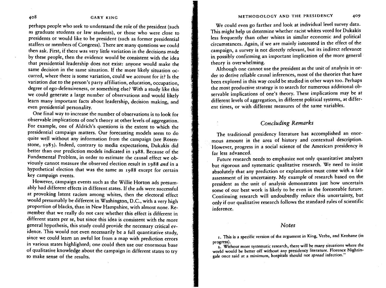perhaps people who seek to understand the role of the president (such as graduate students or law students), or those who were close to presidents or would like to be president (such as former presidential staffers or members of Congress). There are many questions we could then ask. First, if there was very little variation in the decisions made by these people, then the evidence would be consistent with the idea that presidential leadership does not exist: anyone would make the same decision in the same situation. If the more likely situation occurred, where there is some variation, could we account for it? Is the variation due to the person's party affiliation, education, occupation, degree of ego-defensiveness, or something else? With a study like this we could generate a large number of observations and would likely learn many important facts about leadership, decision making, and even presidential personality.

One final way to increase the number of observations is to look for observable implications of one's theory at other levels of aggregation. For example, one of Aldrich's questions is the extent to which the presidential campaign matters. Our forecasting models seem to do quite well without any information from the campaign (see Rosenstone, **1983).** Indeed, contrary to media expectations, Dukakis did better than our prediction models indicated in **1988.** Because of the Fundamental Problem, in order to estimate the causal effect we obviously cannot measure the observed election result in **1988** and in a hypothetical election that was the same as **1988** except for certain key campaign events.

However, campaign events such as the Willie Horton ads presumably had different effects in different states. If the ads were successful at provoking latent racism among whites, then the electoral effect would presumably be different in Washington, D.C., with a very high proportion of blacks, than in New Hampshire, with almost none. Remember that we really do not care whether this effect is different in different states per se, but since this idea is consistent with the more general hypothesis, this study could provide the necessary critical evidence. This would not even necessarily be a full quantitative study, since we could learn an awful lot from a map with prediction errors in various states highlighted; one could then use our enormous base of qualitative knowledge about the campaign in different states to try to make sense of the results.

We could even go farther and look at individual level survey data. This might help us determine whether racist whites voted for Dukakis less frequently than other whites in similar economic and political circumstances. Again, if we are mainly interested in the effect of the campaign, a survey is not directly relevant, but its indirect relevance in possibly confirming an important implication of the more general theory is overwhelming.

Although one cannot use the president as the unit of analysis in order to derive reliable causal inferences, most of the theories that have been explored in this way could be studied in other ways too. Perhaps the most productive strategy is to search for numerous additional observable implications of one's theory. These implications may be at different levels of aggregation, in different political systems, at different times, or with different measures of the same variables.

# ,- *Concluding Remarks*

The traditional presidency literature has accomplished an enormous amount in the area of history and contextual description. However, progress in a social science of the American presidency is far less advanced.

Future research needs to emphasize not only quantitative analyses but rigorous and systematic qualitative research. We need to insist absolutely that any prediction or explanation must come with a fair assessment of its uncertainty. My example of research based on the president as the unit of analysis demonstrates just how uncertain some of our best work is likely to be even in the foreseeable future. Continuing research will undoubtedly reduce this uncertainty, but only if our qualitative research follows the standard rules of scientific inference.

# I *Notes*

I. This is a specific version of the argument in King, Verba, and Keohane (in **progress).** 

**2. Without more systematic research, there will be many situations where the world would be better off without any presidency literature. Florence Nightingale once said at a minimum, hospitals should not spread infection."**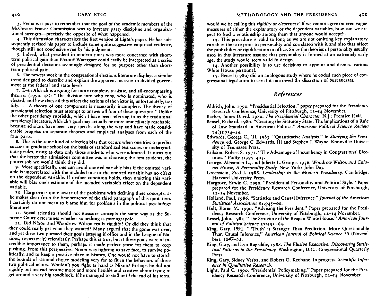3. Perhaps it pays to remember that the goal of the academic members of the McGovern-Fraiser Commission was to increase party discipline and organizational strength-precisely the opposite of what happened.

4. This discussion characterizes the first version of Light's paper. He has subsequently revised his paper to include some quite suggestive empirical evidence, though still not conclusive even by his judgment.

5. Indeed, what president in modern times was more concerned with shortterm political gain than Nixon? Watergate could easily be interpreted as a series of presidential decisions seemingly designed for no purpose other than shortterm political gain.

6. The newest work in the congressional elections literature displays a similar trend designed to describe and explain the apparent increase in divided government at the federal and state levels.

7. Even Aldrich is arguing for more complete, realistic, and all-encompassing theories (1990, 48): "The division into who runs, who is nominated, who is elected, and how does all this affect the actions of the victor is, unfortunately, too tidy.. . . A theory of one component is necessarily incomplete. The theory of presidential selection must attempt to answer all four of these questions." Unlike the other presidency subfields, which I have been referring to as the traditional presidency literature, Aldrich's goal may actually be more immediately reachable, because scholars have been very specific along the way and have made considerable progress on separate theories and empirical analyses from each of the four parts.

8. This is the same kind of selection bias that occurs when one tries to predict success in graduate school on the basis of standardized test scores or undergraduate grades, using as data only those students who were admitted. It turns out that the better the admissions committee was in choosing the best students, the poorer job we would think they did.

9. More specifically, one can avoid omitted variable bias if the omitted variable is uncorrelated with the included one or the omitted variable has no effect on the dependent variable. If neither condition holds, then omitting this variable will bias one's estimate of the included variable's effect on the dependent variable.

lo. Hargrove is quite aware of the problems with defining these concepts, as he makes clear from the first sentence of the third paragraph of this quotation. I certainly do not mean to blame him for problems in the political psychology literature!

11. Social scientists should not measure concepts the same way as the Supreme Court determines whether something is pornographic.

12. Did Nixon and Woodrow Wilson really rigidify? Or did they think that they could really get what they wanted? Many argued that the game was over, and yet these two pursued their goals (staying if office and in the League of Nations, respectively) relentlessly. Perhaps this is true, but if these goals were of incredible importance to them, perhaps it made perfect sense for them to keep pushing. From this perspective, Nixon was fighting **to** save face, to survive politically, and to keep a positive place in history. One would not have to stretch the bounds of rational choice modeling very far to fit in the behaviors of these two political actors. Wouldn't you fight as hard as Nixon? Perhaps he did not rigidify but instead became more and more flexible and creative about trying to get around a very big roadblock. If he managed to stall until the end of his term,

would we be calling this rigidity or cleverness? If we cannot agree on even vague measures of either the explanatory or the dependent variables, how can we expect to find a relationship among them that anyone would accept?

**i** 13. This procedure is valid so long as we are not omitting key explanatory **<sup>f</sup>**variables that are prior to personality and correlated with it and also that affect the probability of rigidification in office. Since the theories of personality usually used in this literature assume that personality is formed at an extremely early age, the study would seem valid in design.

14. Another possibility is to use decisions to appoint and dismiss various White House personnel.<br>15. Bensel (1980) did an analogous study where he coded each piece of con-

gressional legislation to see if it narrowed the discretion of bureaucrats.

## *References*

Aldrich, John. 1990. "Presidential Selection," paper prepared for the Presidency Research Conference, University of Pittsburgh, 12-14 November.

Barber, James David. 1980. The Presidential Character. N.J.: Prentice Hall. Bensel, Richard. 1980. "Creating the Statutory State: The Implications of a Rule

of Law Standard in American Politics." American Polrtical Science Review 74(3):734-44. Edwards, George C., 111. 1983. "Quantitative Analysis." In Studying the Presi-

- dency, ed. George C. Edwards, Ill and Stephen J. Wayne. Knoxville: University of Tennessee Press.
- Erikson, Robert S. 1971. "The Advantage of Incumbency in Congressional Elections." Polity 3:395-405.
- George, Alexander L., and Juliette L. George. 1956. Woodrow Wilson and Colonel House, A Personality Study. New York: John Day.
- Greenstein, Fred 1. 1988. Leadership in the Modern Presidency. Cambridge: Harvard University Press.
- Hargrove, Erwin C. 1990. "Presidential Personality and Political Style." Paper prepared for the Presidency Research Conference, University of Pittsburgh, 12-14 November.
- Holland, Paul, 1986. "Statistics and Causal Inference." Journal of the American Statistical Association 81:945-60.
- Hult, Karen M. 1990. "Advising the President." Paper prepared for the Presidency Research Conference, University of Pittsburgh, 12-14 November.
- Kessel, John. 1984. "The Structure of the Reagan White House." American Journal of Political Science  $27:431-63$ .
- King, Gary. 1991. " 'Truth' is Stranger Than Prediction, More Questionable Than Causal Inference," American Journal of Politicdl Science 35 (November): 1047-53.
- King, Gary, and Lyn Ragsdale, 1988. The Elusive Executive: Discovering Statistical Patterns in the Presidency. Washington, D.C.: Congressional Quarterly Press.
- King, Gary, Sidney Verba, and Robert 0. Keohane. In progress. Scientific Inference in Qualitative Research.
- Light, Paul C. 1990. "Presidential Policymaking." Paper prepared for the Presidency Research Conference, University of Pittsburgh, 12-14 November.